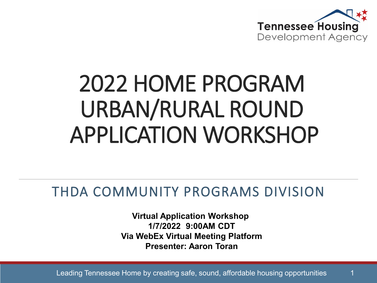

# 2022 HOME PROGRAM URBAN/RURAL ROUND APPLICATION WORKSHOP

#### THDA COMMUNITY PROGRAMS DIVISION

**Virtual Application Workshop 1/7/2022 9:00AM CDT Via WebEx Virtual Meeting Platform Presenter: Aaron Toran**

Leading Tennessee Home by creating safe, sound, affordable housing opportunities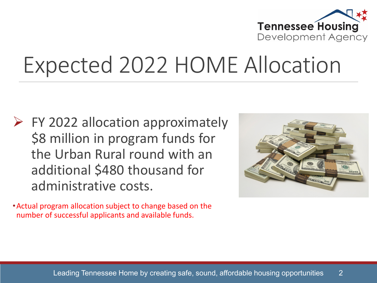

#### Expected 2022 HOME Allocation

 $\triangleright$  FY 2022 allocation approximately \$8 million in program funds for the Urban Rural round with an additional \$480 thousand for administrative costs.

•Actual program allocation subject to change based on the number of successful applicants and available funds.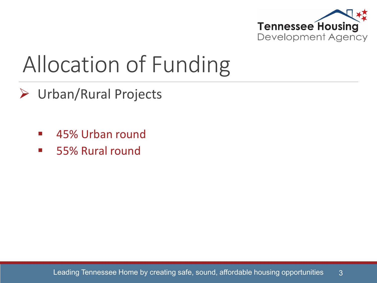

### Allocation of Funding

- Urban/Rural Projects
	- **45% Urban round**
	- 55% Rural round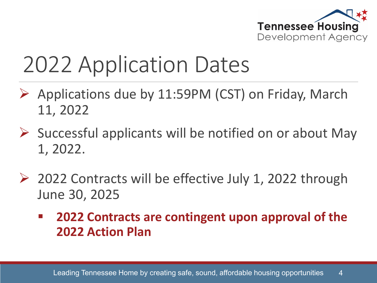

# 2022 Application Dates

- $\triangleright$  Applications due by 11:59PM (CST) on Friday, March 11, 2022
- $\triangleright$  Successful applicants will be notified on or about May 1, 2022.
- ▶ 2022 Contracts will be effective July 1, 2022 through June 30, 2025
	- **2022 Contracts are contingent upon approval of the 2022 Action Plan**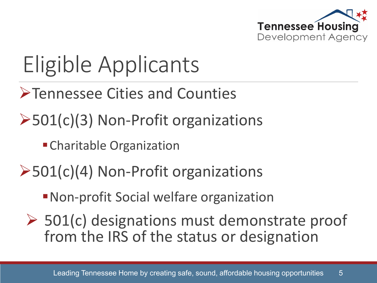

# Eligible Applicants

- Tennessee Cities and Counties
- **≻501(c)(3) Non-Profit organizations** 
	- Charitable Organization
- **≻501(c)(4) Non-Profit organizations** 
	- Non-profit Social welfare organization
	- $\geq$  501(c) designations must demonstrate proof from the IRS of the status or designation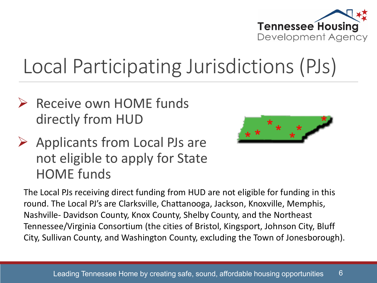

#### Local Participating Jurisdictions (PJs)

- $\triangleright$  Receive own HOME funds directly from HUD
- $\triangleright$  Applicants from Local PJs are not eligible to apply for State HOME funds



The Local PJs receiving direct funding from HUD are not eligible for funding in this round. The Local PJ's are Clarksville, Chattanooga, Jackson, Knoxville, Memphis, Nashville- Davidson County, Knox County, Shelby County, and the Northeast Tennessee/Virginia Consortium (the cities of Bristol, Kingsport, Johnson City, Bluff City, Sullivan County, and Washington County, excluding the Town of Jonesborough).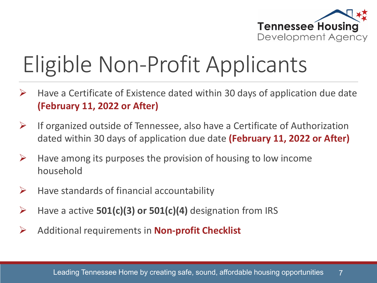

# Eligible Non-Profit Applicants

- $\triangleright$  Have a Certificate of Existence dated within 30 days of application due date **(February 11, 2022 or After)**
- $\triangleright$  If organized outside of Tennessee, also have a Certificate of Authorization dated within 30 days of application due date **(February 11, 2022 or After)**
- $\triangleright$  Have among its purposes the provision of housing to low income household
- $\triangleright$  Have standards of financial accountability
- Have a active **501(c)(3) or 501(c)(4)** designation from IRS
- Additional requirements in **Non-profit Checklist**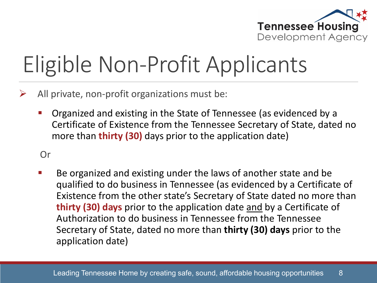

# Eligible Non-Profit Applicants

- $\triangleright$  All private, non-profit organizations must be:
	- Organized and existing in the State of Tennessee (as evidenced by a Certificate of Existence from the Tennessee Secretary of State, dated no more than **thirty (30)** days prior to the application date)

#### Or

■ Be organized and existing under the laws of another state and be qualified to do business in Tennessee (as evidenced by a Certificate of Existence from the other state's Secretary of State dated no more than **thirty (30) days** prior to the application date and by a Certificate of Authorization to do business in Tennessee from the Tennessee Secretary of State, dated no more than **thirty (30) days** prior to the application date)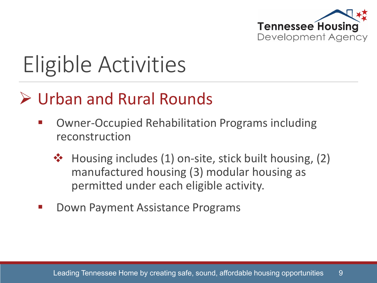

# Eligible Activities

#### Urban and Rural Rounds

- Owner-Occupied Rehabilitation Programs including reconstruction
	- $\cdot \cdot$  Housing includes (1) on-site, stick built housing, (2) manufactured housing (3) modular housing as permitted under each eligible activity.
- Down Payment Assistance Programs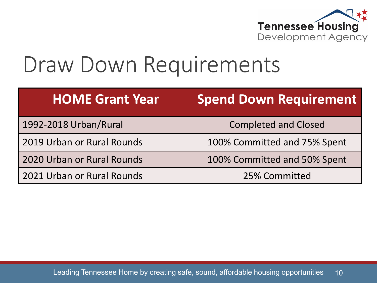

#### Draw Down Requirements

| <b>HOME Grant Year</b>     | <b>Spend Down Requirement</b> |
|----------------------------|-------------------------------|
| 1992-2018 Urban/Rural      | <b>Completed and Closed</b>   |
| 2019 Urban or Rural Rounds | 100% Committed and 75% Spent  |
| 2020 Urban or Rural Rounds | 100% Committed and 50% Spent  |
| 2021 Urban or Rural Rounds | 25% Committed                 |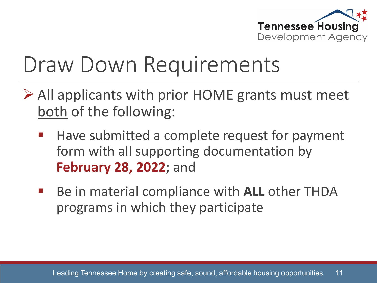

#### Draw Down Requirements

- All applicants with prior HOME grants must meet both of the following:
	- Have submitted a complete request for payment form with all supporting documentation by **February 28, 2022**; and
	- Be in material compliance with **ALL** other THDA programs in which they participate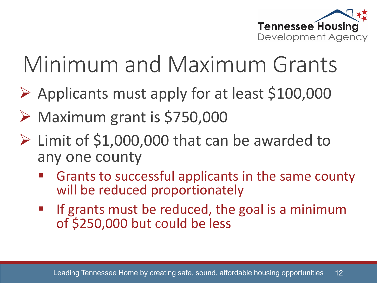

# Minimum and Maximum Grants

- $\triangleright$  Applicants must apply for at least \$100,000
- $\triangleright$  Maximum grant is \$750,000
- $\triangleright$  Limit of \$1,000,000 that can be awarded to any one county
	- Grants to successful applicants in the same county will be reduced proportionately
	- If grants must be reduced, the goal is a minimum of \$250,000 but could be less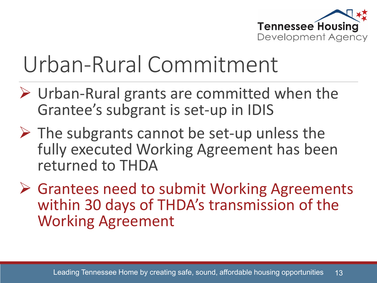

### Urban-Rural Commitment

- Urban-Rural grants are committed when the Grantee's subgrant is set-up in IDIS
- $\triangleright$  The subgrants cannot be set-up unless the fully executed Working Agreement has been returned to THDA
- **► Grantees need to submit Working Agreements** within 30 days of THDA's transmission of the Working Agreement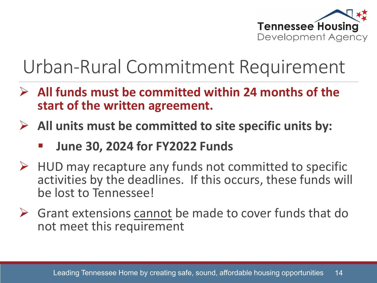

#### Urban-Rural Commitment Requirement

- **All funds must be committed within 24 months of the start of the written agreement.**
- **All units must be committed to site specific units by:**
	- **June 30, 2024 for FY2022 Funds**
- $\triangleright$  HUD may recapture any funds not committed to specific activities by the deadlines. If this occurs, these funds will be lost to Tennessee!
- $\triangleright$  Grant extensions cannot be made to cover funds that do not meet this requirement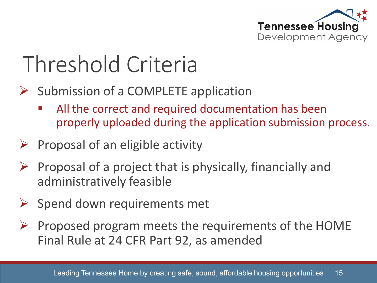

### Threshold Criteria

- $\triangleright$  Submission of a COMPLETE application
	- All the correct and required documentation has been properly uploaded during the application submission process.
- Proposal of an eligible activity
- $\triangleright$  Proposal of a project that is physically, financially and administratively feasible
- $\triangleright$  Spend down requirements met
- $\triangleright$  Proposed program meets the requirements of the HOME Final Rule at 24 CFR Part 92, as amended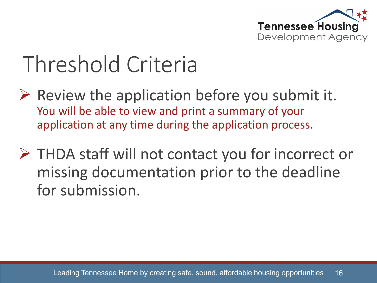

#### Threshold Criteria

- $\triangleright$  Review the application before you submit it. You will be able to view and print a summary of your application at any time during the application process.
- ▶ THDA staff will not contact you for incorrect or missing documentation prior to the deadline for submission.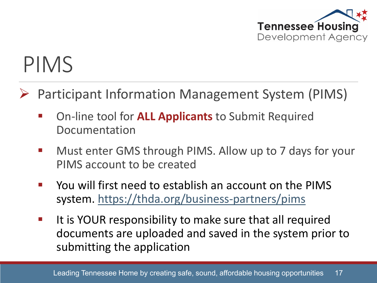

### PIMS

- Participant Information Management System (PIMS)
	- On-line tool for **ALL Applicants** to Submit Required Documentation
	- **Nust enter GMS through PIMS. Allow up to 7 days for your** PIMS account to be created
	- You will first need to establish an account on the PIMS system.<https://thda.org/business-partners/pims>
	- If it is YOUR responsibility to make sure that all required documents are uploaded and saved in the system prior to submitting the application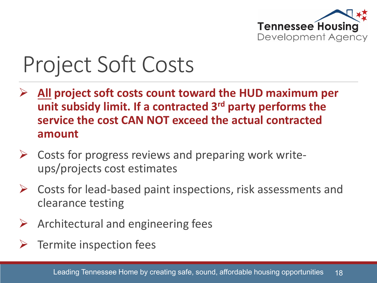

### Project Soft Costs

- **All project soft costs count toward the HUD maximum per unit subsidy limit. If a contracted 3rd party performs the service the cost CAN NOT exceed the actual contracted amount**
- $\triangleright$  Costs for progress reviews and preparing work writeups/projects cost estimates
- $\triangleright$  Costs for lead-based paint inspections, risk assessments and clearance testing
- $\triangleright$  Architectural and engineering fees
- Termite inspection fees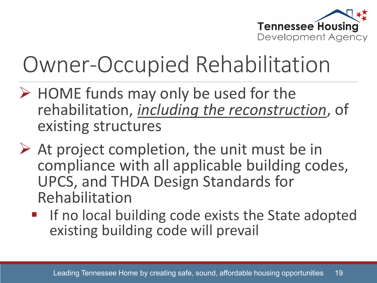

### Owner-Occupied Rehabilitation

- $\triangleright$  HOME funds may only be used for the rehabilitation, *including the reconstruction*, of existing structures
- $\triangleright$  At project completion, the unit must be in compliance with all applicable building codes, UPCS, and THDA Design Standards for Rehabilitation
	- **If no local building code exists the State adopted** existing building code will prevail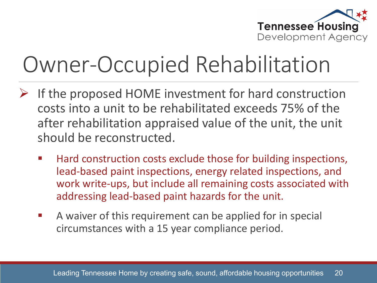

### Owner-Occupied Rehabilitation

- If the proposed HOME investment for hard construction costs into a unit to be rehabilitated exceeds 75% of the after rehabilitation appraised value of the unit, the unit should be reconstructed.
	- Hard construction costs exclude those for building inspections, lead-based paint inspections, energy related inspections, and work write-ups, but include all remaining costs associated with addressing lead-based paint hazards for the unit.
	- A waiver of this requirement can be applied for in special circumstances with a 15 year compliance period.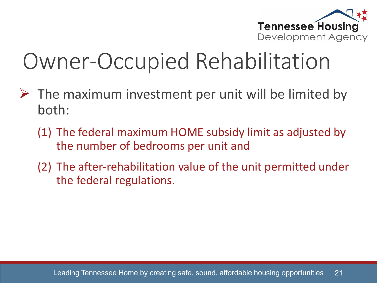

### Owner-Occupied Rehabilitation

- $\triangleright$  The maximum investment per unit will be limited by both:
	- (1) The federal maximum HOME subsidy limit as adjusted by the number of bedrooms per unit and
	- (2) The after-rehabilitation value of the unit permitted under the federal regulations.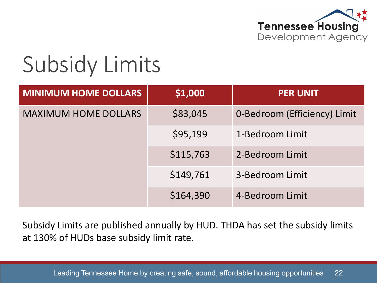

#### Subsidy Limits

| <b>MINIMUM HOME DOLLARS</b> | \$1,000   | <b>PER UNIT</b>              |
|-----------------------------|-----------|------------------------------|
| <b>MAXIMUM HOME DOLLARS</b> | \$83,045  | 0-Bedroom (Efficiency) Limit |
|                             | \$95,199  | 1-Bedroom Limit              |
|                             | \$115,763 | 2-Bedroom Limit              |
|                             | \$149,761 | 3-Bedroom Limit              |
|                             | \$164,390 | 4-Bedroom Limit              |

Subsidy Limits are published annually by HUD. THDA has set the subsidy limits at 130% of HUDs base subsidy limit rate.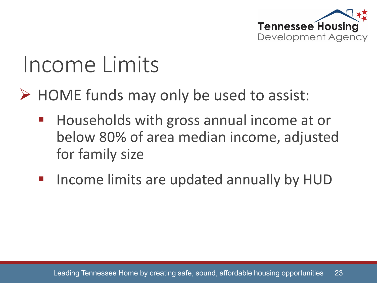

#### Income Limits

 $\triangleright$  HOME funds may only be used to assist:

- Households with gross annual income at or below 80% of area median income, adjusted for family size
- Income limits are updated annually by HUD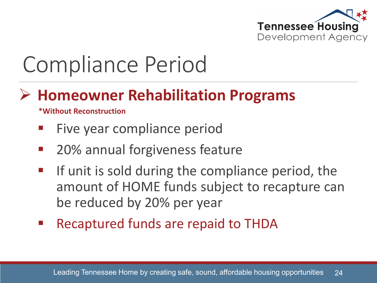

# Compliance Period

#### **Homeowner Rehabilitation Programs**

**\*Without Reconstruction**

- Five year compliance period
- 20% annual forgiveness feature
- **If unit is sold during the compliance period, the** amount of HOME funds subject to recapture can be reduced by 20% per year
- Recaptured funds are repaid to THDA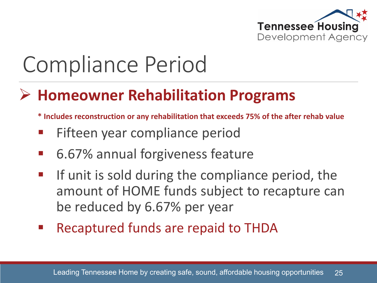

# Compliance Period

#### **Homeowner Rehabilitation Programs**

- **\* Includes reconstruction or any rehabilitation that exceeds 75% of the after rehab value**
- Fifteen year compliance period
- 6.67% annual forgiveness feature
- **If unit is sold during the compliance period, the** amount of HOME funds subject to recapture can be reduced by 6.67% per year
- Recaptured funds are repaid to THDA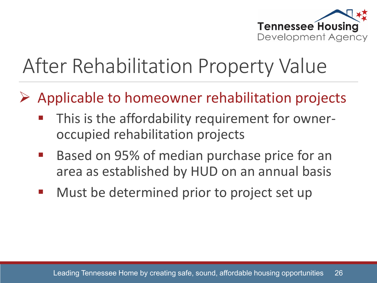

#### After Rehabilitation Property Value

- $\triangleright$  Applicable to homeowner rehabilitation projects
	- This is the affordability requirement for owneroccupied rehabilitation projects
	- Based on 95% of median purchase price for an area as established by HUD on an annual basis
	- **Must be determined prior to project set up**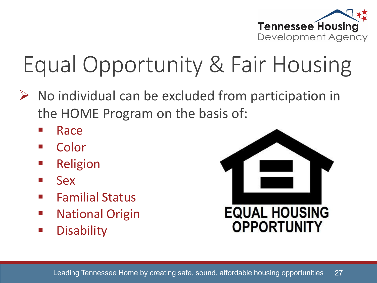

# Equal Opportunity & Fair Housing

- $\triangleright$  No individual can be excluded from participation in the HOME Program on the basis of:
	- Race
	- Color
	- Religion
	- $\blacksquare$  Sex
	- **Familial Status**
	- **National Origin**
	- **Disability**

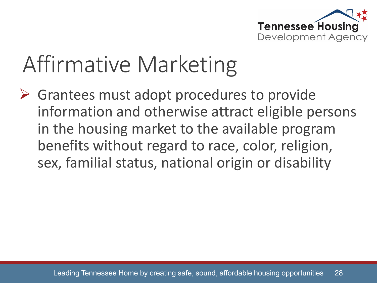

### Affirmative Marketing

 $\triangleright$  Grantees must adopt procedures to provide information and otherwise attract eligible persons in the housing market to the available program benefits without regard to race, color, religion, sex, familial status, national origin or disability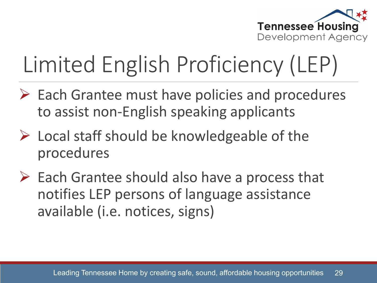

# Limited English Proficiency (LEP)

- $\triangleright$  Each Grantee must have policies and procedures to assist non-English speaking applicants
- $\triangleright$  Local staff should be knowledgeable of the procedures
- $\triangleright$  Each Grantee should also have a process that notifies LEP persons of language assistance available (i.e. notices, signs)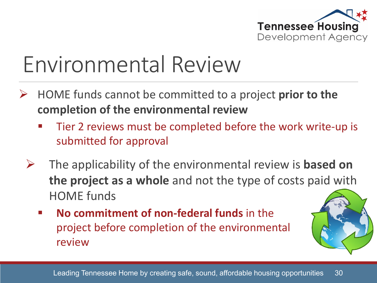

### Environmental Review

- HOME funds cannot be committed to a project **prior to the completion of the environmental review**
	- Tier 2 reviews must be completed before the work write-up is submitted for approval
	- The applicability of the environmental review is **based on the project as a whole** and not the type of costs paid with HOME funds
		- **No commitment of non-federal funds** in the project before completion of the environmental review

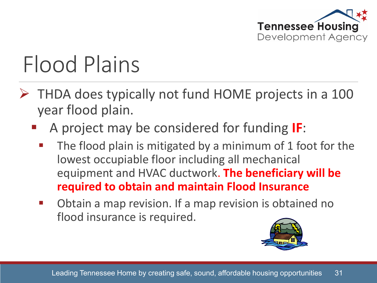

# Flood Plains

- $\triangleright$  THDA does typically not fund HOME projects in a 100 year flood plain.
	- A project may be considered for funding **IF**:
		- $\blacksquare$  The flood plain is mitigated by a minimum of 1 foot for the lowest occupiable floor including all mechanical equipment and HVAC ductwork. **The beneficiary will be required to obtain and maintain Flood Insurance**
		- **•** Obtain a map revision. If a map revision is obtained no flood insurance is required.

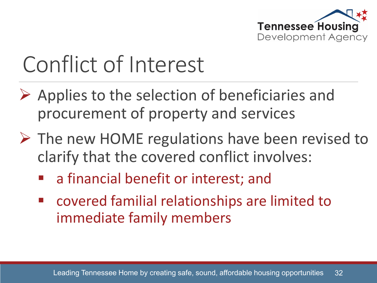

# Conflict of Interest

- $\triangleright$  Applies to the selection of beneficiaries and procurement of property and services
- $\triangleright$  The new HOME regulations have been revised to clarify that the covered conflict involves:
	- a financial benefit or interest; and
	- covered familial relationships are limited to immediate family members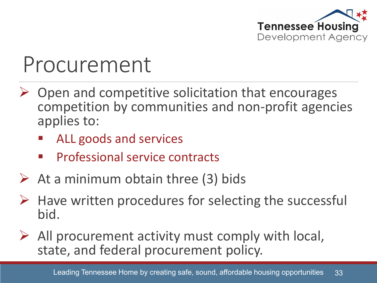

#### Procurement

- Open and competitive solicitation that encourages competition by communities and non-profit agencies applies to:
	- ALL goods and services
	- Professional service contracts
- $\triangleright$  At a minimum obtain three (3) bids
- $\triangleright$  Have written procedures for selecting the successful bid.
- All procurement activity must comply with local, state, and federal procurement policy.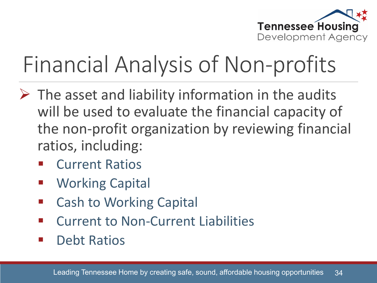

# Financial Analysis of Non-profits

- $\triangleright$  The asset and liability information in the audits will be used to evaluate the financial capacity of the non-profit organization by reviewing financial ratios, including:
	- Current Ratios
	- Working Capital
	- Cash to Working Capital
	- Current to Non-Current Liabilities
	- **•** Debt Ratios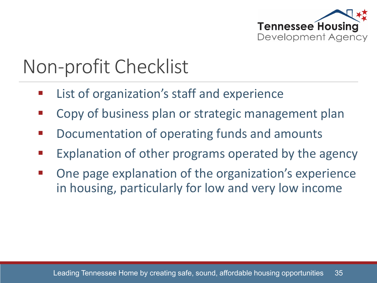

#### Non-profit Checklist

- List of organization's staff and experience
- Copy of business plan or strategic management plan
- Documentation of operating funds and amounts
- Explanation of other programs operated by the agency
- One page explanation of the organization's experience in housing, particularly for low and very low income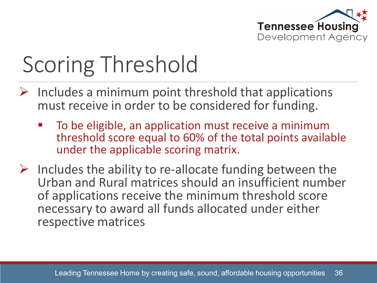

# Scoring Threshold

- $\triangleright$  Includes a minimum point threshold that applications must receive in order to be considered for funding.
	- To be eligible, an application must receive a minimum threshold score equal to 60% of the total points available under the applicable scoring matrix.
- $\triangleright$  Includes the ability to re-allocate funding between the Urban and Rural matrices should an insufficient number of applications receive the minimum threshold score necessary to award all funds allocated under either respective matrices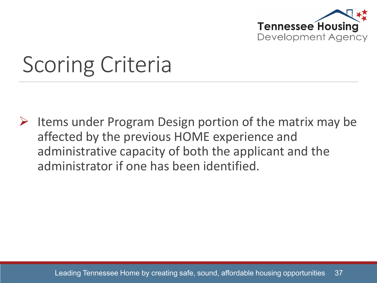

# Scoring Criteria

 $\triangleright$  Items under Program Design portion of the matrix may be affected by the previous HOME experience and administrative capacity of both the applicant and the administrator if one has been identified.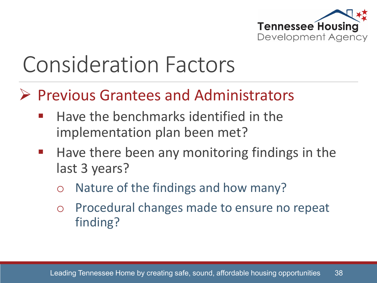

- $\triangleright$  Previous Grantees and Administrators
	- Have the benchmarks identified in the implementation plan been met?
	- **Have there been any monitoring findings in the** last 3 years?
		- o Nature of the findings and how many?
		- o Procedural changes made to ensure no repeat finding?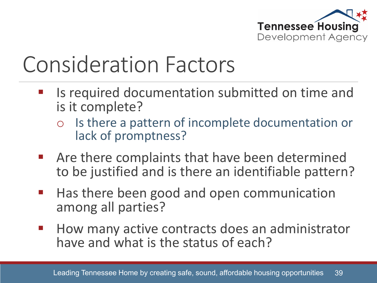

- Is required documentation submitted on time and is it complete?
	- o Is there a pattern of incomplete documentation or lack of promptness?
- Are there complaints that have been determined to be justified and is there an identifiable pattern?
- **Heta** Has there been good and open communication among all parties?
- **How many active contracts does an administrator** have and what is the status of each?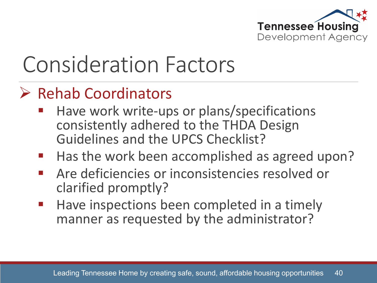

#### $\triangleright$  Rehab Coordinators

- Have work write-ups or plans/specifications consistently adhered to the THDA Design Guidelines and the UPCS Checklist?
- Has the work been accomplished as agreed upon?
- **Are deficiencies or inconsistencies resolved or** clarified promptly?
- **Have inspections been completed in a timely** manner as requested by the administrator?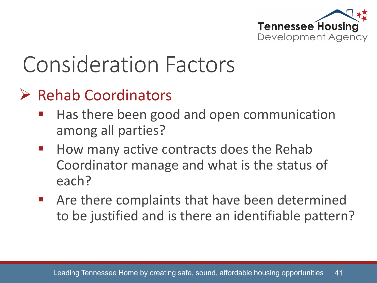

#### $\triangleright$  Rehab Coordinators

- Has there been good and open communication among all parties?
- **How many active contracts does the Rehab** Coordinator manage and what is the status of each?
- Are there complaints that have been determined to be justified and is there an identifiable pattern?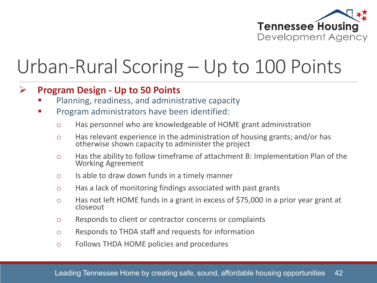

#### Urban-Rural Scoring – Up to 100 Points

#### **Program Design - Up to 50 Points**

- Planning, readiness, and administrative capacity
- Program administrators have been identified:
	- o Has personnel who are knowledgeable of HOME grant administration
	- o Has relevant experience in the administration of housing grants; and/or has otherwise shown capacity to administer the project
	- <sup>o</sup> Has the ability to follow timeframe of attachment B: Implementation Plan of the Working Agreement
	- o Is able to draw down funds in a timely manner
	- o Has a lack of monitoring findings associated with past grants
	- o Has not left HOME funds in a grant in excess of \$75,000 in a prior year grant at closeout
	- o Responds to client or contractor concerns or complaints
	- o Responds to THDA staff and requests for information
	- o Follows THDA HOME policies and procedures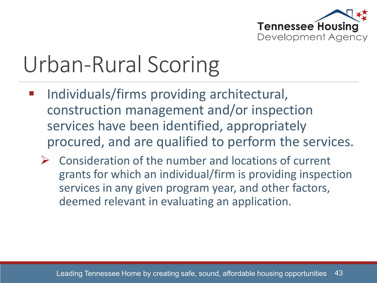

- Individuals/firms providing architectural, construction management and/or inspection services have been identified, appropriately procured, and are qualified to perform the services.
	- $\triangleright$  Consideration of the number and locations of current grants for which an individual/firm is providing inspection services in any given program year, and other factors, deemed relevant in evaluating an application.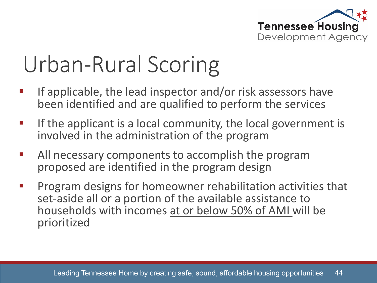

- If applicable, the lead inspector and/or risk assessors have been identified and are qualified to perform the services
- If the applicant is a local community, the local government is involved in the administration of the program
- All necessary components to accomplish the program proposed are identified in the program design
- Program designs for homeowner rehabilitation activities that set-aside all or a portion of the available assistance to households with incomes at or below 50% of AMI will be prioritized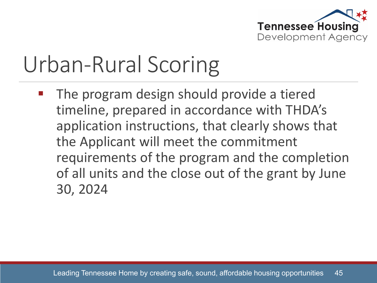

 The program design should provide a tiered timeline, prepared in accordance with THDA's application instructions, that clearly shows that the Applicant will meet the commitment requirements of the program and the completion of all units and the close out of the grant by June 30, 2024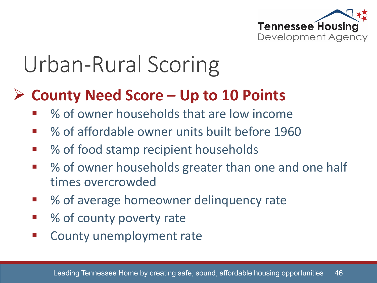

#### **County Need Score – Up to 10 Points**

- % of owner households that are low income
- % of affordable owner units built before 1960
- % of food stamp recipient households
- % of owner households greater than one and one half times overcrowded
- % of average homeowner delinquency rate
- % of county poverty rate
- County unemployment rate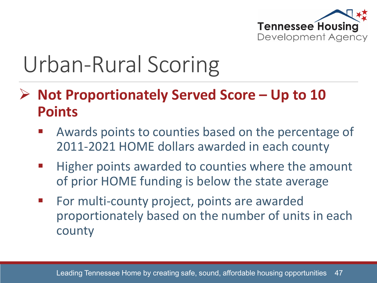

- **Not Proportionately Served Score – Up to 10 Points**
	- Awards points to counties based on the percentage of 2011-2021 HOME dollars awarded in each county
	- **Higher points awarded to counties where the amount** of prior HOME funding is below the state average
	- **Formulti-county project, points are awarded** proportionately based on the number of units in each county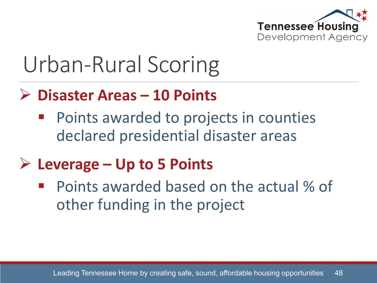

#### **Disaster Areas – 10 Points**

 Points awarded to projects in counties declared presidential disaster areas

#### **Leverage – Up to 5 Points**

 Points awarded based on the actual % of other funding in the project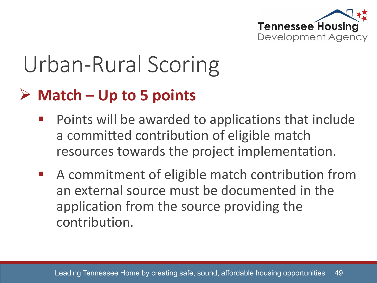

#### **Match – Up to 5 points**

- Points will be awarded to applications that include a committed contribution of eligible match resources towards the project implementation.
- A commitment of eligible match contribution from an external source must be documented in the application from the source providing the contribution.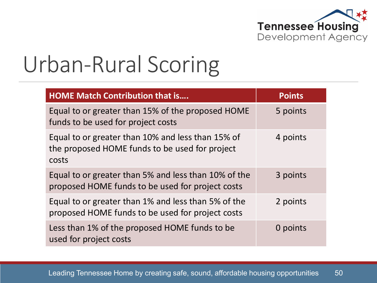

| <b>HOME Match Contribution that is</b>                                                                       | <b>Points</b> |
|--------------------------------------------------------------------------------------------------------------|---------------|
| Equal to or greater than 15% of the proposed HOME<br>funds to be used for project costs                      | 5 points      |
| Equal to or greater than 10% and less than 15% of<br>the proposed HOME funds to be used for project<br>costs | 4 points      |
| Equal to or greater than 5% and less than 10% of the<br>proposed HOME funds to be used for project costs     | 3 points      |
| Equal to or greater than 1% and less than 5% of the<br>proposed HOME funds to be used for project costs      | 2 points      |
| Less than 1% of the proposed HOME funds to be<br>used for project costs                                      | 0 points      |

Leading Tennessee Home by creating safe, sound, affordable housing opportunities 50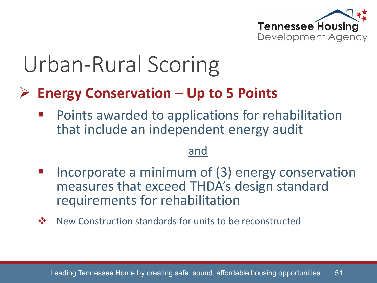

#### **Energy Conservation – Up to 5 Points**

 Points awarded to applications for rehabilitation that include an independent energy audit

#### and

- Incorporate a minimum of (3) energy conservation measures that exceed THDA's design standard requirements for rehabilitation
- ❖ New Construction standards for units to be reconstructed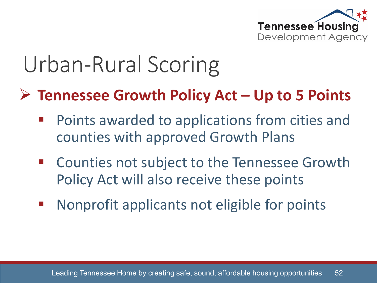

#### **Tennessee Growth Policy Act – Up to 5 Points**

- Points awarded to applications from cities and counties with approved Growth Plans
- Counties not subject to the Tennessee Growth Policy Act will also receive these points
- Nonprofit applicants not eligible for points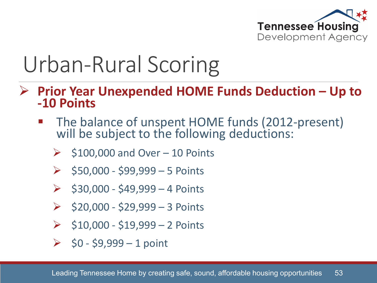

- **Prior Year Unexpended HOME Funds Deduction – Up to -10 Points**
	- The balance of unspent HOME funds (2012-present) will be subject to the following deductions:
		- \$100,000 and Over 10 Points
		- $\ge$  \$50,000 \$99,999 5 Points
		- $\ge$  \$30,000 \$49,999 4 Points
		- $\ge$  \$20,000 \$29,999 3 Points
		- $\geq$  \$10,000 \$19,999 2 Points
		- $\geq$  \$0 \$9,999 1 point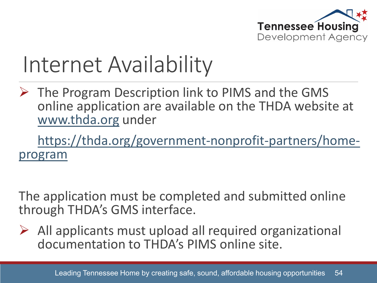

#### Internet Availability

 $\triangleright$  The Program Description link to PIMS and the GMS online application are available on the THDA website at [www.thda.org](http://www.thda.org/) under

[https://thda.org/government-nonprofit-partners/home-](https://thda.org/government-nonprofit-partners/home-program) program

The application must be completed and submitted online through THDA's GMS interface.

 $\triangleright$  All applicants must upload all required organizational documentation to THDA's PIMS online site.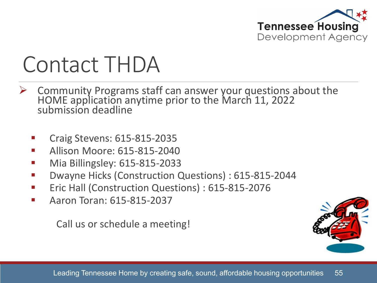

#### Contact THDA

- Community Programs staff can answer your questions about the HOME application anytime prior to the March 11, 2022 submission deadline
	- Craig Stevens: 615-815-2035
	- Allison Moore: 615-815-2040
	- Mia Billingsley: 615-815-2033
	- Dwayne Hicks (Construction Questions) : 615-815-2044
	- **Eric Hall (Construction Questions): 615-815-2076**
	- Aaron Toran: 615-815-2037

Call us or schedule a meeting!

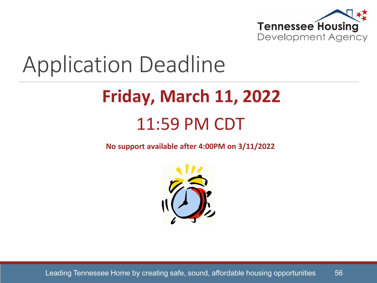

#### Application Deadline

#### **Friday, March 11, 2022** 11:59 PM CDT

**No support available after 4:00PM on 3/11/2022**